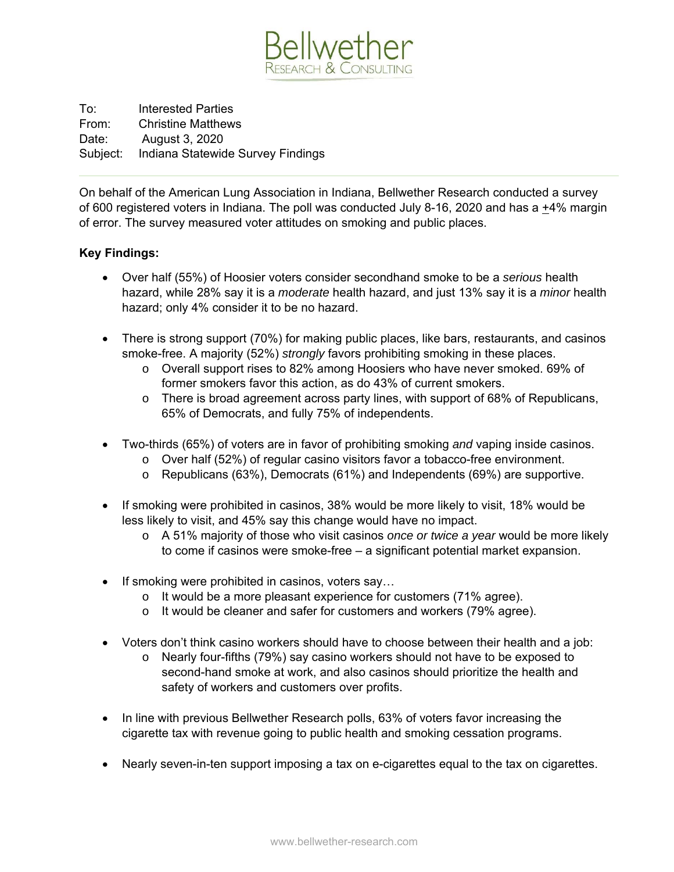

To: Interested Parties From: Christine Matthews Date: August 3, 2020 Subject: Indiana Statewide Survey Findings

On behalf of the American Lung Association in Indiana, Bellwether Research conducted a survey of 600 registered voters in Indiana. The poll was conducted July 8-16, 2020 and has a +4% margin of error. The survey measured voter attitudes on smoking and public places.

## **Key Findings:**

- Over half (55%) of Hoosier voters consider secondhand smoke to be a *serious* health hazard, while 28% say it is a *moderate* health hazard, and just 13% say it is a *minor* health hazard; only 4% consider it to be no hazard.
- There is strong support (70%) for making public places, like bars, restaurants, and casinos smoke-free. A majority (52%) *strongly* favors prohibiting smoking in these places.
	- o Overall support rises to 82% among Hoosiers who have never smoked. 69% of former smokers favor this action, as do 43% of current smokers.
	- o There is broad agreement across party lines, with support of 68% of Republicans, 65% of Democrats, and fully 75% of independents.
- Two-thirds (65%) of voters are in favor of prohibiting smoking *and* vaping inside casinos.
	- o Over half (52%) of regular casino visitors favor a tobacco-free environment.
	- o Republicans (63%), Democrats (61%) and Independents (69%) are supportive.
- If smoking were prohibited in casinos, 38% would be more likely to visit, 18% would be less likely to visit, and 45% say this change would have no impact.
	- o A 51% majority of those who visit casinos *once or twice a year* would be more likely to come if casinos were smoke-free – a significant potential market expansion.
- If smoking were prohibited in casinos, voters say...
	- o It would be a more pleasant experience for customers (71% agree).
	- o It would be cleaner and safer for customers and workers (79% agree).
- Voters don't think casino workers should have to choose between their health and a job:
	- o Nearly four-fifths (79%) say casino workers should not have to be exposed to second-hand smoke at work, and also casinos should prioritize the health and safety of workers and customers over profits.
- In line with previous Bellwether Research polls, 63% of voters favor increasing the cigarette tax with revenue going to public health and smoking cessation programs.
- Nearly seven-in-ten support imposing a tax on e-cigarettes equal to the tax on cigarettes.